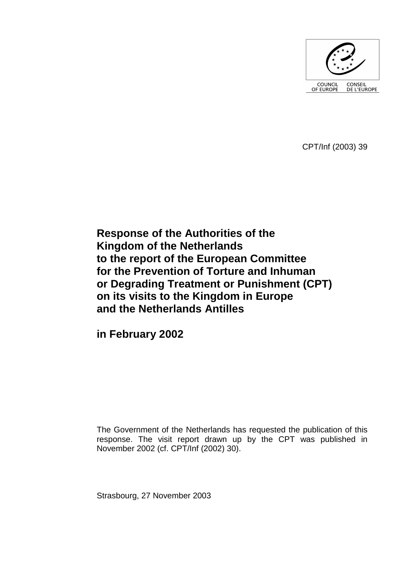

CPT/Inf (2003) 39

**Response of the Authorities of the Kingdom of the Netherlands to the report of the European Committee for the Prevention of Torture and Inhuman or Degrading Treatment or Punishment (CPT) on its visits to the Kingdom in Europe and the Netherlands Antilles** 

**in February 2002** 

The Government of the Netherlands has requested the publication of this response. The visit report drawn up by the CPT was published in November 2002 (cf. CPT/Inf (2002) 30).

Strasbourg, 27 November 2003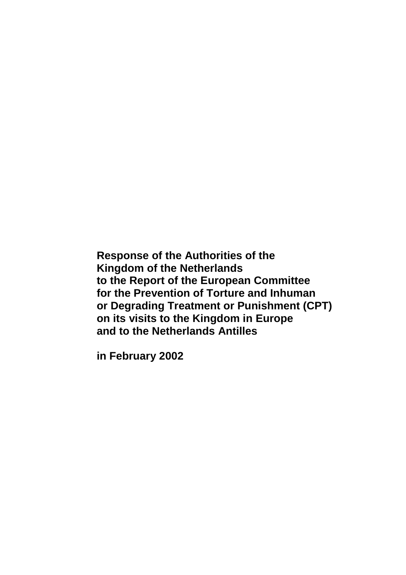**Response of the Authorities of the Kingdom of the Netherlands to the Report of the European Committee for the Prevention of Torture and Inhuman or Degrading Treatment or Punishment (CPT) on its visits to the Kingdom in Europe and to the Netherlands Antilles** 

**in February 2002**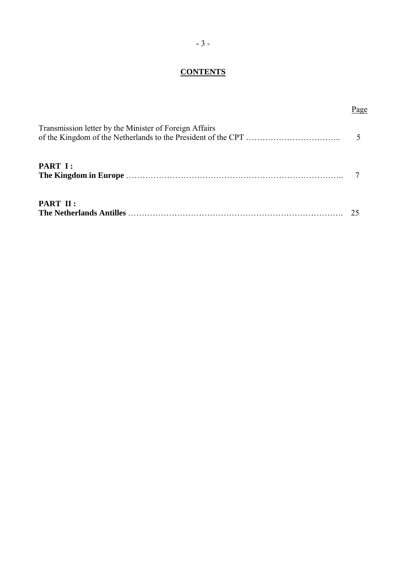# **CONTENTS**

Page

# Transmission letter by the Minister of Foreign Affairs of the Kingdom of the Netherlands to the President of the CPT ÖÖÖÖÖÖÖÖÖÖÖ.. 5 **PART I: The Kingdom in Europe** ÖÖÖÖÖÖÖÖÖÖÖÖÖÖÖÖÖÖÖÖÖÖÖÖÖÖ.. 7 **PART II :**  The Netherlands Antilles **COO COO COO**<sup>25</sup>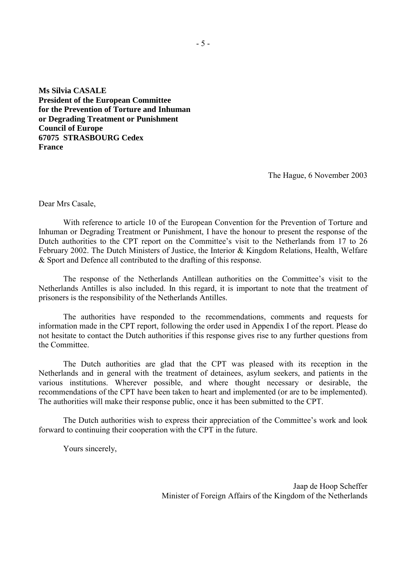**Ms Silvia CASALE President of the European Committee for the Prevention of Torture and Inhuman or Degrading Treatment or Punishment Council of Europe 67075 STRASBOURG Cedex France**

The Hague, 6 November 2003

Dear Mrs Casale,

With reference to article 10 of the European Convention for the Prevention of Torture and Inhuman or Degrading Treatment or Punishment, I have the honour to present the response of the Dutch authorities to the CPT report on the Committee's visit to the Netherlands from 17 to 26 February 2002. The Dutch Ministers of Justice, the Interior & Kingdom Relations, Health, Welfare & Sport and Defence all contributed to the drafting of this response.

The response of the Netherlands Antillean authorities on the Committee's visit to the Netherlands Antilles is also included. In this regard, it is important to note that the treatment of prisoners is the responsibility of the Netherlands Antilles.

The authorities have responded to the recommendations, comments and requests for information made in the CPT report, following the order used in Appendix I of the report. Please do not hesitate to contact the Dutch authorities if this response gives rise to any further questions from the Committee.

The Dutch authorities are glad that the CPT was pleased with its reception in the Netherlands and in general with the treatment of detainees, asylum seekers, and patients in the various institutions. Wherever possible, and where thought necessary or desirable, the recommendations of the CPT have been taken to heart and implemented (or are to be implemented). The authorities will make their response public, once it has been submitted to the CPT.

The Dutch authorities wish to express their appreciation of the Committee's work and look forward to continuing their cooperation with the CPT in the future.

Yours sincerely,

Jaap de Hoop Scheffer Minister of Foreign Affairs of the Kingdom of the Netherlands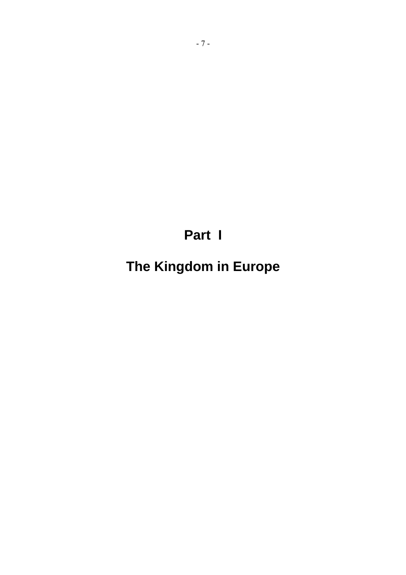**Part I** 

**The Kingdom in Europe**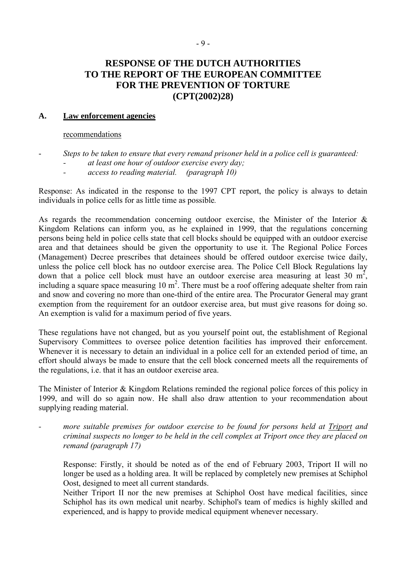# **RESPONSE OF THE DUTCH AUTHORITIES TO THE REPORT OF THE EUROPEAN COMMITTEE FOR THE PREVENTION OF TORTURE (CPT(2002)28)**

# **A. Law enforcement agencies**

#### recommendations

- *Steps to be taken to ensure that every remand prisoner held in a police cell is guaranteed: - at least one hour of outdoor exercise every day;* 
	- *access to reading material. (paragraph 10)*

Response: As indicated in the response to the 1997 CPT report, the policy is always to detain individuals in police cells for as little time as possible*.* 

As regards the recommendation concerning outdoor exercise, the Minister of the Interior & Kingdom Relations can inform you, as he explained in 1999, that the regulations concerning persons being held in police cells state that cell blocks should be equipped with an outdoor exercise area and that detainees should be given the opportunity to use it. The Regional Police Forces (Management) Decree prescribes that detainees should be offered outdoor exercise twice daily, unless the police cell block has no outdoor exercise area. The Police Cell Block Regulations lay down that a police cell block must have an outdoor exercise area measuring at least 30  $m^2$ , including a square space measuring  $10 \text{ m}^2$ . There must be a roof offering adequate shelter from rain and snow and covering no more than one-third of the entire area. The Procurator General may grant exemption from the requirement for an outdoor exercise area, but must give reasons for doing so. An exemption is valid for a maximum period of five years.

These regulations have not changed, but as you yourself point out, the establishment of Regional Supervisory Committees to oversee police detention facilities has improved their enforcement. Whenever it is necessary to detain an individual in a police cell for an extended period of time, an effort should always be made to ensure that the cell block concerned meets all the requirements of the regulations, i.e. that it has an outdoor exercise area.

The Minister of Interior & Kingdom Relations reminded the regional police forces of this policy in 1999, and will do so again now. He shall also draw attention to your recommendation about supplying reading material.

*- more suitable premises for outdoor exercise to be found for persons held at Triport and criminal suspects no longer to be held in the cell complex at Triport once they are placed on remand (paragraph 17)* 

Response: Firstly, it should be noted as of the end of February 2003, Triport II will no longer be used as a holding area. It will be replaced by completely new premises at Schiphol Oost, designed to meet all current standards.

Neither Triport II nor the new premises at Schiphol Oost have medical facilities, since Schiphol has its own medical unit nearby. Schiphol's team of medics is highly skilled and experienced, and is happy to provide medical equipment whenever necessary.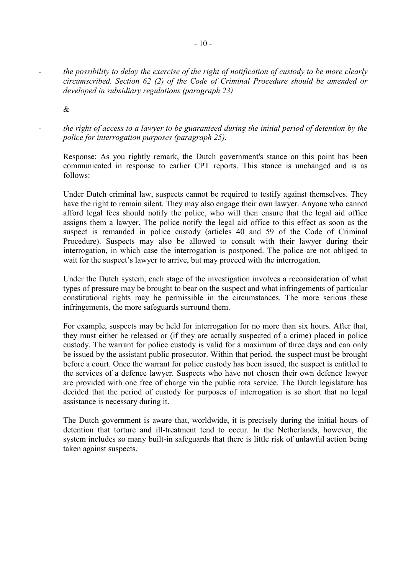*- the possibility to delay the exercise of the right of notification of custody to be more clearly circumscribed. Section 62 (2) of the Code of Criminal Procedure should be amended or developed in subsidiary regulations (paragraph 23)* 

&

*- the right of access to a lawyer to be guaranteed during the initial period of detention by the police for interrogation purposes (paragraph 25).* 

Response: As you rightly remark, the Dutch government's stance on this point has been communicated in response to earlier CPT reports. This stance is unchanged and is as follows:

Under Dutch criminal law, suspects cannot be required to testify against themselves. They have the right to remain silent. They may also engage their own lawyer. Anyone who cannot afford legal fees should notify the police, who will then ensure that the legal aid office assigns them a lawyer. The police notify the legal aid office to this effect as soon as the suspect is remanded in police custody (articles 40 and 59 of the Code of Criminal Procedure). Suspects may also be allowed to consult with their lawyer during their interrogation, in which case the interrogation is postponed. The police are not obliged to wait for the suspect's lawyer to arrive, but may proceed with the interrogation.

Under the Dutch system, each stage of the investigation involves a reconsideration of what types of pressure may be brought to bear on the suspect and what infringements of particular constitutional rights may be permissible in the circumstances. The more serious these infringements, the more safeguards surround them.

For example, suspects may be held for interrogation for no more than six hours. After that, they must either be released or (if they are actually suspected of a crime) placed in police custody. The warrant for police custody is valid for a maximum of three days and can only be issued by the assistant public prosecutor. Within that period, the suspect must be brought before a court. Once the warrant for police custody has been issued, the suspect is entitled to the services of a defence lawyer. Suspects who have not chosen their own defence lawyer are provided with one free of charge via the public rota service. The Dutch legislature has decided that the period of custody for purposes of interrogation is so short that no legal assistance is necessary during it.

The Dutch government is aware that, worldwide, it is precisely during the initial hours of detention that torture and ill-treatment tend to occur. In the Netherlands, however, the system includes so many built-in safeguards that there is little risk of unlawful action being taken against suspects.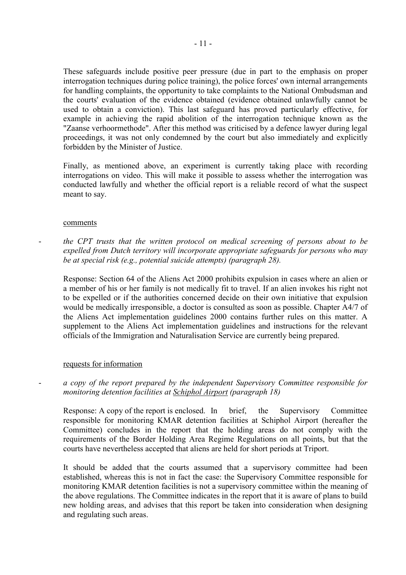These safeguards include positive peer pressure (due in part to the emphasis on proper interrogation techniques during police training), the police forces' own internal arrangements for handling complaints, the opportunity to take complaints to the National Ombudsman and the courts' evaluation of the evidence obtained (evidence obtained unlawfully cannot be used to obtain a conviction). This last safeguard has proved particularly effective, for example in achieving the rapid abolition of the interrogation technique known as the "Zaanse verhoormethode". After this method was criticised by a defence lawyer during legal proceedings, it was not only condemned by the court but also immediately and explicitly forbidden by the Minister of Justice.

Finally, as mentioned above, an experiment is currently taking place with recording interrogations on video. This will make it possible to assess whether the interrogation was conducted lawfully and whether the official report is a reliable record of what the suspect meant to say.

#### comments

- *the CPT trusts that the written protocol on medical screening of persons about to be expelled from Dutch territory will incorporate appropriate safeguards for persons who may be at special risk (e.g., potential suicide attempts) (paragraph 28).*

Response: Section 64 of the Aliens Act 2000 prohibits expulsion in cases where an alien or a member of his or her family is not medically fit to travel. If an alien invokes his right not to be expelled or if the authorities concerned decide on their own initiative that expulsion would be medically irresponsible, a doctor is consulted as soon as possible. Chapter A4/7 of the Aliens Act implementation guidelines 2000 contains further rules on this matter. A supplement to the Aliens Act implementation guidelines and instructions for the relevant officials of the Immigration and Naturalisation Service are currently being prepared.

#### requests for information

# a copy of the report prepared by the independent Supervisory Committee responsible for *monitoring detention facilities at Schiphol Airport (paragraph 18)*

Response: A copy of the report is enclosed. In brief, the Supervisory Committee responsible for monitoring KMAR detention facilities at Schiphol Airport (hereafter the Committee) concludes in the report that the holding areas do not comply with the requirements of the Border Holding Area Regime Regulations on all points, but that the courts have nevertheless accepted that aliens are held for short periods at Triport.

It should be added that the courts assumed that a supervisory committee had been established, whereas this is not in fact the case: the Supervisory Committee responsible for monitoring KMAR detention facilities is not a supervisory committee within the meaning of the above regulations. The Committee indicates in the report that it is aware of plans to build new holding areas, and advises that this report be taken into consideration when designing and regulating such areas.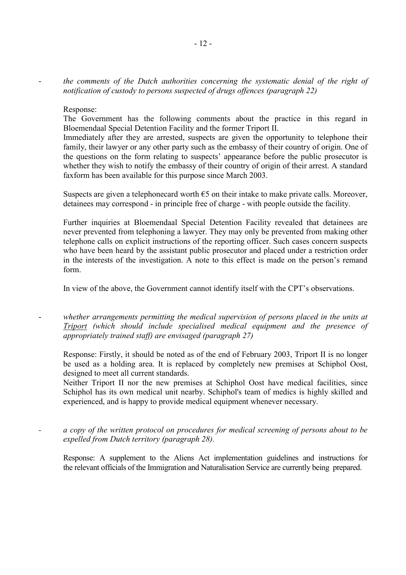the comments of the Dutch authorities concerning the systematic denial of the right of *notification of custody to persons suspected of drugs offences (paragraph 22)*

#### Response:

The Government has the following comments about the practice in this regard in Bloemendaal Special Detention Facility and the former Triport II.

Immediately after they are arrested, suspects are given the opportunity to telephone their family, their lawyer or any other party such as the embassy of their country of origin. One of the questions on the form relating to suspects' appearance before the public prosecutor is whether they wish to notify the embassy of their country of origin of their arrest. A standard faxform has been available for this purpose since March 2003.

Suspects are given a telephonecard worth  $\epsilon$ 5 on their intake to make private calls. Moreover, detainees may correspond - in principle free of charge - with people outside the facility.

Further inquiries at Bloemendaal Special Detention Facility revealed that detainees are never prevented from telephoning a lawyer. They may only be prevented from making other telephone calls on explicit instructions of the reporting officer. Such cases concern suspects who have been heard by the assistant public prosecutor and placed under a restriction order in the interests of the investigation. A note to this effect is made on the person's remand form.

In view of the above, the Government cannot identify itself with the CPT's observations.

whether arrangements permitting the medical supervision of persons placed in the units at *Triport (which should include specialised medical equipment and the presence of appropriately trained staff) are envisaged (paragraph 27)* 

Response: Firstly, it should be noted as of the end of February 2003, Triport II is no longer be used as a holding area. It is replaced by completely new premises at Schiphol Oost, designed to meet all current standards.

Neither Triport II nor the new premises at Schiphol Oost have medical facilities, since Schiphol has its own medical unit nearby. Schiphol's team of medics is highly skilled and experienced, and is happy to provide medical equipment whenever necessary.

*- a copy of the written protocol on procedures for medical screening of persons about to be expelled from Dutch territory (paragraph 28).* 

Response: A supplement to the Aliens Act implementation guidelines and instructions for the relevant officials of the Immigration and Naturalisation Service are currently being prepared.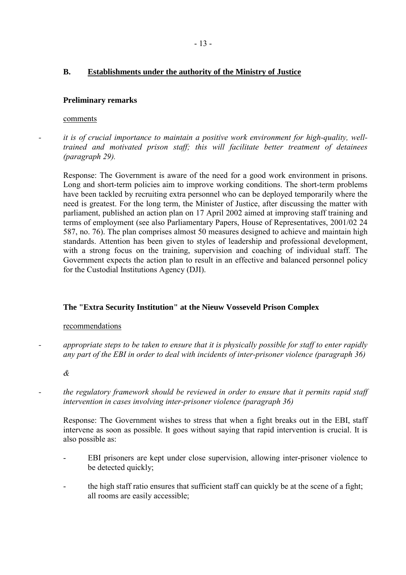# **B. Establishments under the authority of the Ministry of Justice**

# **Preliminary remarks**

#### comments

*- it is of crucial importance to maintain a positive work environment for high-quality, welltrained and motivated prison staff; this will facilitate better treatment of detainees (paragraph 29).* 

Response: The Government is aware of the need for a good work environment in prisons. Long and short-term policies aim to improve working conditions. The short-term problems have been tackled by recruiting extra personnel who can be deployed temporarily where the need is greatest. For the long term, the Minister of Justice, after discussing the matter with parliament, published an action plan on 17 April 2002 aimed at improving staff training and terms of employment (see also Parliamentary Papers, House of Representatives, 2001/02 24 587, no. 76). The plan comprises almost 50 measures designed to achieve and maintain high standards. Attention has been given to styles of leadership and professional development, with a strong focus on the training, supervision and coaching of individual staff. The Government expects the action plan to result in an effective and balanced personnel policy for the Custodial Institutions Agency (DJI).

# **The "Extra Security Institution" at the Nieuw Vosseveld Prison Complex**

#### recommendations

*- appropriate steps to be taken to ensure that it is physically possible for staff to enter rapidly any part of the EBI in order to deal with incidents of inter-prisoner violence (paragraph 36)* 

*&* 

*- the regulatory framework should be reviewed in order to ensure that it permits rapid staff intervention in cases involving inter-prisoner violence (paragraph 36)* 

Response: The Government wishes to stress that when a fight breaks out in the EBI, staff intervene as soon as possible. It goes without saying that rapid intervention is crucial. It is also possible as:

- EBI prisoners are kept under close supervision, allowing inter-prisoner violence to be detected quickly;
- the high staff ratio ensures that sufficient staff can quickly be at the scene of a fight; all rooms are easily accessible;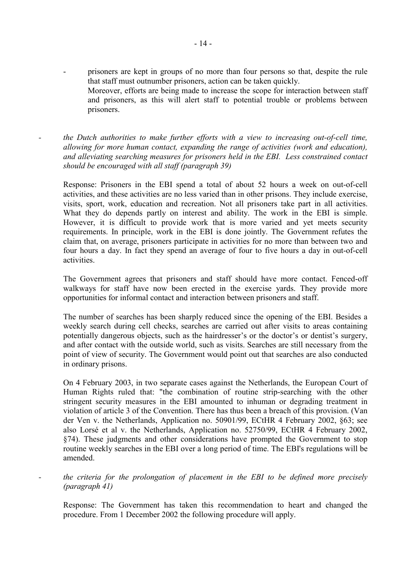- prisoners are kept in groups of no more than four persons so that, despite the rule that staff must outnumber prisoners, action can be taken quickly. Moreover, efforts are being made to increase the scope for interaction between staff and prisoners, as this will alert staff to potential trouble or problems between prisoners.
- *the Dutch authorities to make further efforts with a view to increasing out-of-cell time, allowing for more human contact, expanding the range of activities (work and education), and alleviating searching measures for prisoners held in the EBI. Less constrained contact should be encouraged with all staff (paragraph 39)*

Response: Prisoners in the EBI spend a total of about 52 hours a week on out-of-cell activities, and these activities are no less varied than in other prisons. They include exercise, visits, sport, work, education and recreation. Not all prisoners take part in all activities. What they do depends partly on interest and ability. The work in the EBI is simple. However, it is difficult to provide work that is more varied and yet meets security requirements. In principle, work in the EBI is done jointly. The Government refutes the claim that, on average, prisoners participate in activities for no more than between two and four hours a day. In fact they spend an average of four to five hours a day in out-of-cell activities.

The Government agrees that prisoners and staff should have more contact. Fenced-off walkways for staff have now been erected in the exercise vards. They provide more opportunities for informal contact and interaction between prisoners and staff.

The number of searches has been sharply reduced since the opening of the EBI. Besides a weekly search during cell checks, searches are carried out after visits to areas containing potentially dangerous objects, such as the hairdresser's or the doctor's or dentist's surgery, and after contact with the outside world, such as visits. Searches are still necessary from the point of view of security. The Government would point out that searches are also conducted in ordinary prisons.

On 4 February 2003, in two separate cases against the Netherlands, the European Court of Human Rights ruled that: "the combination of routine strip-searching with the other stringent security measures in the EBI amounted to inhuman or degrading treatment in violation of article 3 of the Convention. There has thus been a breach of this provision. (Van der Ven v. the Netherlands, Application no. 50901/99, ECtHR 4 February 2002, ß63; see also LorsÈ et al v. the Netherlands, Application no. 52750/99, ECtHR 4 February 2002, ß74). These judgments and other considerations have prompted the Government to stop routine weekly searches in the EBI over a long period of time. The EBI's regulations will be amended.

*- the criteria for the prolongation of placement in the EBI to be defined more precisely (paragraph 41)* 

Response: The Government has taken this recommendation to heart and changed the procedure. From 1 December 2002 the following procedure will apply.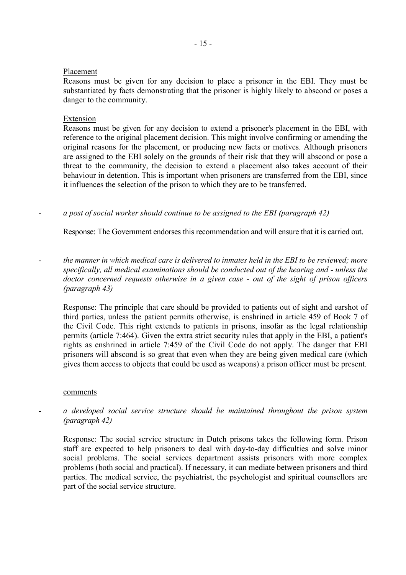### Placement

Reasons must be given for any decision to place a prisoner in the EBI. They must be substantiated by facts demonstrating that the prisoner is highly likely to abscond or poses a danger to the community.

### Extension

Reasons must be given for any decision to extend a prisoner's placement in the EBI, with reference to the original placement decision. This might involve confirming or amending the original reasons for the placement, or producing new facts or motives. Although prisoners are assigned to the EBI solely on the grounds of their risk that they will abscond or pose a threat to the community, the decision to extend a placement also takes account of their behaviour in detention. This is important when prisoners are transferred from the EBI, since it influences the selection of the prison to which they are to be transferred.

*- a post of social worker should continue to be assigned to the EBI (paragraph 42)* 

Response: The Government endorses this recommendation and will ensure that it is carried out.

*- the manner in which medical care is delivered to inmates held in the EBI to be reviewed; more specifically, all medical examinations should be conducted out of the hearing and - unless the doctor concerned requests otherwise in a given case - out of the sight of prison officers (paragraph 43)* 

Response: The principle that care should be provided to patients out of sight and earshot of third parties, unless the patient permits otherwise, is enshrined in article 459 of Book 7 of the Civil Code. This right extends to patients in prisons, insofar as the legal relationship permits (article 7:464). Given the extra strict security rules that apply in the EBI, a patient's rights as enshrined in article 7:459 of the Civil Code do not apply. The danger that EBI prisoners will abscond is so great that even when they are being given medical care (which gives them access to objects that could be used as weapons) a prison officer must be present.

#### comments

*- a developed social service structure should be maintained throughout the prison system (paragraph 42)* 

Response: The social service structure in Dutch prisons takes the following form. Prison staff are expected to help prisoners to deal with day-to-day difficulties and solve minor social problems. The social services department assists prisoners with more complex problems (both social and practical). If necessary, it can mediate between prisoners and third parties. The medical service, the psychiatrist, the psychologist and spiritual counsellors are part of the social service structure.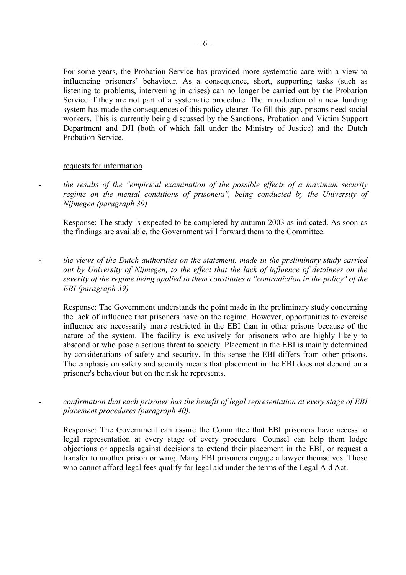For some years, the Probation Service has provided more systematic care with a view to influencing prisoners' behaviour. As a consequence, short, supporting tasks (such as listening to problems, intervening in crises) can no longer be carried out by the Probation Service if they are not part of a systematic procedure. The introduction of a new funding system has made the consequences of this policy clearer. To fill this gap, prisons need social workers. This is currently being discussed by the Sanctions, Probation and Victim Support Department and DJI (both of which fall under the Ministry of Justice) and the Dutch Probation Service.

### requests for information

*- the results of the "empirical examination of the possible effects of a maximum security regime on the mental conditions of prisoners", being conducted by the University of Nijmegen (paragraph 39)* 

Response: The study is expected to be completed by autumn 2003 as indicated. As soon as the findings are available, the Government will forward them to the Committee.

- *the views of the Dutch authorities on the statement, made in the preliminary study carried out by University of Nijmegen, to the effect that the lack of influence of detainees on the severity of the regime being applied to them constitutes a "contradiction in the policy" of the EBI (paragraph 39)* 

Response: The Government understands the point made in the preliminary study concerning the lack of influence that prisoners have on the regime. However, opportunities to exercise influence are necessarily more restricted in the EBI than in other prisons because of the nature of the system. The facility is exclusively for prisoners who are highly likely to abscond or who pose a serious threat to society. Placement in the EBI is mainly determined by considerations of safety and security. In this sense the EBI differs from other prisons. The emphasis on safety and security means that placement in the EBI does not depend on a prisoner's behaviour but on the risk he represents.

- *confirmation that each prisoner has the benefit of legal representation at every stage of EBI placement procedures (paragraph 40).* 

Response: The Government can assure the Committee that EBI prisoners have access to legal representation at every stage of every procedure. Counsel can help them lodge objections or appeals against decisions to extend their placement in the EBI, or request a transfer to another prison or wing. Many EBI prisoners engage a lawyer themselves. Those who cannot afford legal fees qualify for legal aid under the terms of the Legal Aid Act.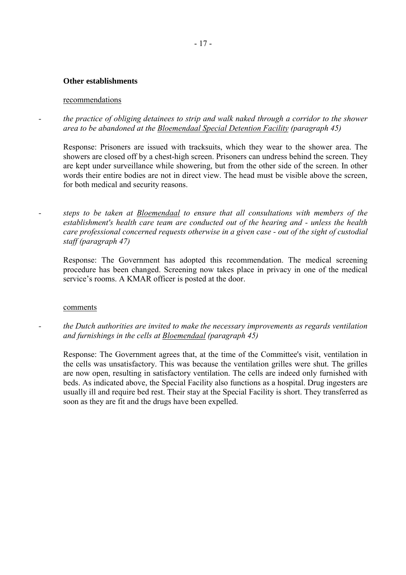### **Other establishments**

#### recommendations

*- the practice of obliging detainees to strip and walk naked through a corridor to the shower area to be abandoned at the Bloemendaal Special Detention Facility (paragraph 45)* 

Response: Prisoners are issued with tracksuits, which they wear to the shower area. The showers are closed off by a chest-high screen. Prisoners can undress behind the screen. They are kept under surveillance while showering, but from the other side of the screen. In other words their entire bodies are not in direct view. The head must be visible above the screen, for both medical and security reasons.

*- steps to be taken at Bloemendaal to ensure that all consultations with members of the establishment's health care team are conducted out of the hearing and - unless the health care professional concerned requests otherwise in a given case - out of the sight of custodial staff (paragraph 47)* 

Response: The Government has adopted this recommendation. The medical screening procedure has been changed. Screening now takes place in privacy in one of the medical service's rooms. A KMAR officer is posted at the door.

#### comments

*- the Dutch authorities are invited to make the necessary improvements as regards ventilation and furnishings in the cells at Bloemendaal (paragraph 45)* 

Response: The Government agrees that, at the time of the Committee's visit, ventilation in the cells was unsatisfactory. This was because the ventilation grilles were shut. The grilles are now open, resulting in satisfactory ventilation. The cells are indeed only furnished with beds. As indicated above, the Special Facility also functions as a hospital. Drug ingesters are usually ill and require bed rest. Their stay at the Special Facility is short. They transferred as soon as they are fit and the drugs have been expelled.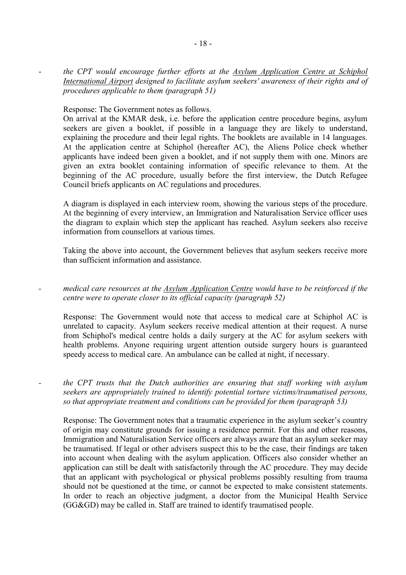- *the CPT would encourage further efforts at the Asylum Application Centre at Schiphol International Airport designed to facilitate asylum seekers' awareness of their rights and of procedures applicable to them (paragraph 51)* 

Response: The Government notes as follows.

On arrival at the KMAR desk, i.e. before the application centre procedure begins, asylum seekers are given a booklet, if possible in a language they are likely to understand, explaining the procedure and their legal rights. The booklets are available in 14 languages. At the application centre at Schiphol (hereafter AC), the Aliens Police check whether applicants have indeed been given a booklet, and if not supply them with one. Minors are given an extra booklet containing information of specific relevance to them. At the beginning of the AC procedure, usually before the first interview, the Dutch Refugee Council briefs applicants on AC regulations and procedures.

A diagram is displayed in each interview room, showing the various steps of the procedure. At the beginning of every interview, an Immigration and Naturalisation Service officer uses the diagram to explain which step the applicant has reached. Asylum seekers also receive information from counsellors at various times.

Taking the above into account, the Government believes that asylum seekers receive more than sufficient information and assistance.

*- medical care resources at the Asylum Application Centre would have to be reinforced if the centre were to operate closer to its official capacity (paragraph 52)* 

Response: The Government would note that access to medical care at Schiphol AC is unrelated to capacity. Asylum seekers receive medical attention at their request. A nurse from Schiphol's medical centre holds a daily surgery at the AC for asylum seekers with health problems. Anyone requiring urgent attention outside surgery hours is guaranteed speedy access to medical care. An ambulance can be called at night, if necessary.

*- the CPT trusts that the Dutch authorities are ensuring that staff working with asylum seekers are appropriately trained to identify potential torture victims/traumatised persons, so that appropriate treatment and conditions can be provided for them (paragraph 53)* 

Response: The Government notes that a traumatic experience in the asylum seeker's country of origin may constitute grounds for issuing a residence permit. For this and other reasons, Immigration and Naturalisation Service officers are always aware that an asylum seeker may be traumatised. If legal or other advisers suspect this to be the case, their findings are taken into account when dealing with the asylum application. Officers also consider whether an application can still be dealt with satisfactorily through the AC procedure. They may decide that an applicant with psychological or physical problems possibly resulting from trauma should not be questioned at the time, or cannot be expected to make consistent statements. In order to reach an objective judgment, a doctor from the Municipal Health Service (GG&GD) may be called in. Staff are trained to identify traumatised people.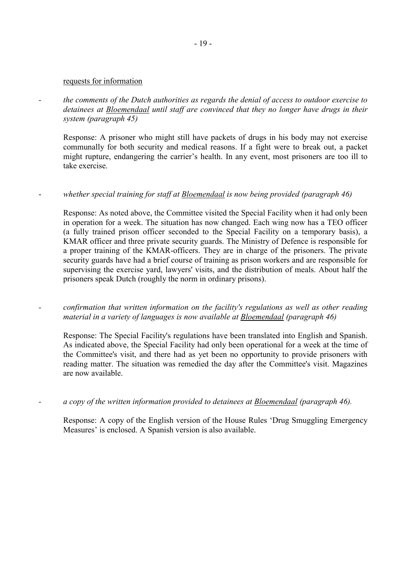#### requests for information

*- the comments of the Dutch authorities as regards the denial of access to outdoor exercise to detainees at Bloemendaal until staff are convinced that they no longer have drugs in their system (paragraph 45)* 

Response: A prisoner who might still have packets of drugs in his body may not exercise communally for both security and medical reasons. If a fight were to break out, a packet might rupture, endangering the carrier's health. In any event, most prisoners are too ill to take exercise.

# whether special training for staff at Bloemendaal is now being provided (paragraph 46)

Response: As noted above, the Committee visited the Special Facility when it had only been in operation for a week. The situation has now changed. Each wing now has a TEO officer (a fully trained prison officer seconded to the Special Facility on a temporary basis), a KMAR officer and three private security guards. The Ministry of Defence is responsible for a proper training of the KMAR-officers. They are in charge of the prisoners. The private security guards have had a brief course of training as prison workers and are responsible for supervising the exercise yard, lawyers' visits, and the distribution of meals. About half the prisoners speak Dutch (roughly the norm in ordinary prisons).

*- confirmation that written information on the facility's regulations as well as other reading material in a variety of languages is now available at Bloemendaal (paragraph 46)* 

Response: The Special Facility's regulations have been translated into English and Spanish. As indicated above, the Special Facility had only been operational for a week at the time of the Committee's visit, and there had as yet been no opportunity to provide prisoners with reading matter. The situation was remedied the day after the Committee's visit. Magazines are now available.

*- a copy of the written information provided to detainees at Bloemendaal (paragraph 46).* 

Response: A copy of the English version of the House Rules 'Drug Smuggling Emergency Measures' is enclosed. A Spanish version is also available.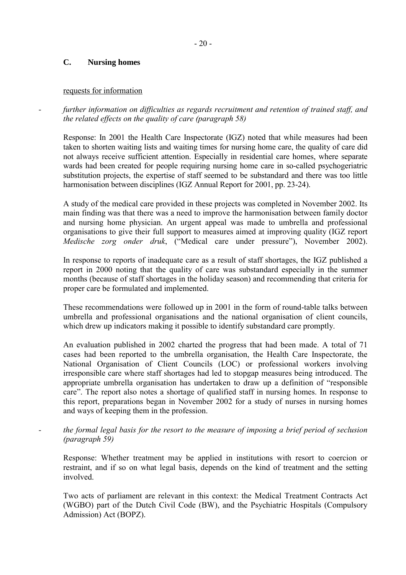# **C. Nursing homes**

# requests for information

*- further information on difficulties as regards recruitment and retention of trained staff, and the related effects on the quality of care (paragraph 58)* 

Response: In 2001 the Health Care Inspectorate (IGZ) noted that while measures had been taken to shorten waiting lists and waiting times for nursing home care, the quality of care did not always receive sufficient attention. Especially in residential care homes, where separate wards had been created for people requiring nursing home care in so-called psychogeriatric substitution projects, the expertise of staff seemed to be substandard and there was too little harmonisation between disciplines (IGZ Annual Report for 2001, pp. 23-24).

A study of the medical care provided in these projects was completed in November 2002. Its main finding was that there was a need to improve the harmonisation between family doctor and nursing home physician. An urgent appeal was made to umbrella and professional organisations to give their full support to measures aimed at improving quality (IGZ report *Medische zorg onder druk*, ("Medical care under pressure"), November 2002).

In response to reports of inadequate care as a result of staff shortages, the IGZ published a report in 2000 noting that the quality of care was substandard especially in the summer months (because of staff shortages in the holiday season) and recommending that criteria for proper care be formulated and implemented.

These recommendations were followed up in 2001 in the form of round-table talks between umbrella and professional organisations and the national organisation of client councils, which drew up indicators making it possible to identify substandard care promptly.

An evaluation published in 2002 charted the progress that had been made. A total of 71 cases had been reported to the umbrella organisation, the Health Care Inspectorate, the National Organisation of Client Councils (LOC) or professional workers involving irresponsible care where staff shortages had led to stopgap measures being introduced. The appropriate umbrella organisation has undertaken to draw up a definition of "responsible" care". The report also notes a shortage of qualified staff in nursing homes. In response to this report, preparations began in November 2002 for a study of nurses in nursing homes and ways of keeping them in the profession.

# *- the formal legal basis for the resort to the measure of imposing a brief period of seclusion (paragraph 59)*

Response: Whether treatment may be applied in institutions with resort to coercion or restraint, and if so on what legal basis, depends on the kind of treatment and the setting involved.

Two acts of parliament are relevant in this context: the Medical Treatment Contracts Act (WGBO) part of the Dutch Civil Code (BW), and the Psychiatric Hospitals (Compulsory Admission) Act (BOPZ).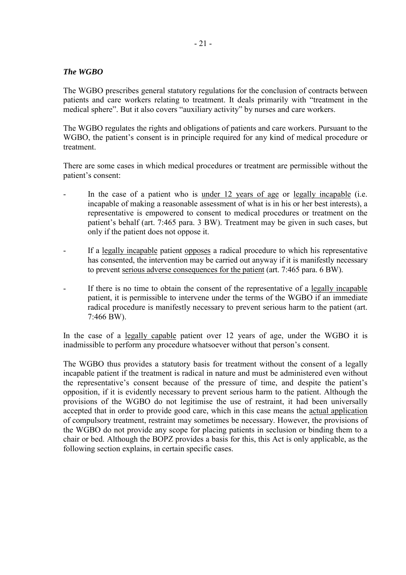# *The WGBO*

The WGBO prescribes general statutory regulations for the conclusion of contracts between patients and care workers relating to treatment. It deals primarily with "treatment in the medical sphere". But it also covers "auxiliary activity" by nurses and care workers.

The WGBO regulates the rights and obligations of patients and care workers. Pursuant to the WGBO, the patient's consent is in principle required for any kind of medical procedure or treatment.

There are some cases in which medical procedures or treatment are permissible without the patient's consent:

- In the case of a patient who is under 12 years of age or legally incapable (i.e. incapable of making a reasonable assessment of what is in his or her best interests), a representative is empowered to consent to medical procedures or treatment on the patient's behalf (art. 7:465 para. 3 BW). Treatment may be given in such cases, but only if the patient does not oppose it.
- If a legally incapable patient opposes a radical procedure to which his representative has consented, the intervention may be carried out anyway if it is manifestly necessary to prevent serious adverse consequences for the patient (art. 7:465 para. 6 BW).
- If there is no time to obtain the consent of the representative of a legally incapable patient, it is permissible to intervene under the terms of the WGBO if an immediate radical procedure is manifestly necessary to prevent serious harm to the patient (art. 7:466 BW).

In the case of a <u>legally capable</u> patient over 12 years of age, under the WGBO it is inadmissible to perform any procedure whatsoever without that person's consent.

The WGBO thus provides a statutory basis for treatment without the consent of a legally incapable patient if the treatment is radical in nature and must be administered even without the representative's consent because of the pressure of time, and despite the patient's opposition, if it is evidently necessary to prevent serious harm to the patient. Although the provisions of the WGBO do not legitimise the use of restraint, it had been universally accepted that in order to provide good care, which in this case means the actual application of compulsory treatment, restraint may sometimes be necessary. However, the provisions of the WGBO do not provide any scope for placing patients in seclusion or binding them to a chair or bed. Although the BOPZ provides a basis for this, this Act is only applicable, as the following section explains, in certain specific cases.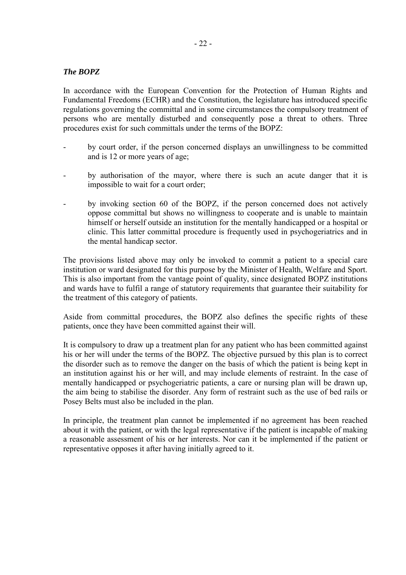# *The BOPZ*

In accordance with the European Convention for the Protection of Human Rights and Fundamental Freedoms (ECHR) and the Constitution, the legislature has introduced specific regulations governing the committal and in some circumstances the compulsory treatment of persons who are mentally disturbed and consequently pose a threat to others. Three procedures exist for such committals under the terms of the BOPZ:

- by court order, if the person concerned displays an unwillingness to be committed and is 12 or more years of age;
- by authorisation of the mayor, where there is such an acute danger that it is impossible to wait for a court order;
- by invoking section 60 of the BOPZ, if the person concerned does not actively oppose committal but shows no willingness to cooperate and is unable to maintain himself or herself outside an institution for the mentally handicapped or a hospital or clinic. This latter committal procedure is frequently used in psychogeriatrics and in the mental handicap sector.

The provisions listed above may only be invoked to commit a patient to a special care institution or ward designated for this purpose by the Minister of Health, Welfare and Sport. This is also important from the vantage point of quality, since designated BOPZ institutions and wards have to fulfil a range of statutory requirements that guarantee their suitability for the treatment of this category of patients.

Aside from committal procedures, the BOPZ also defines the specific rights of these patients, once they have been committed against their will.

It is compulsory to draw up a treatment plan for any patient who has been committed against his or her will under the terms of the BOPZ. The objective pursued by this plan is to correct the disorder such as to remove the danger on the basis of which the patient is being kept in an institution against his or her will, and may include elements of restraint. In the case of mentally handicapped or psychogeriatric patients, a care or nursing plan will be drawn up, the aim being to stabilise the disorder. Any form of restraint such as the use of bed rails or Posey Belts must also be included in the plan.

In principle, the treatment plan cannot be implemented if no agreement has been reached about it with the patient, or with the legal representative if the patient is incapable of making a reasonable assessment of his or her interests. Nor can it be implemented if the patient or representative opposes it after having initially agreed to it.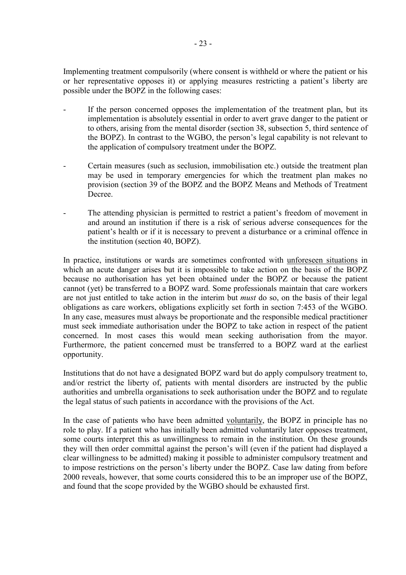Implementing treatment compulsorily (where consent is withheld or where the patient or his or her representative opposes it) or applying measures restricting a patient's liberty are possible under the BOPZ in the following cases:

- If the person concerned opposes the implementation of the treatment plan, but its implementation is absolutely essential in order to avert grave danger to the patient or to others, arising from the mental disorder (section 38, subsection 5, third sentence of the BOPZ). In contrast to the WGBO, the person's legal capability is not relevant to the application of compulsory treatment under the BOPZ.
- Certain measures (such as seclusion, immobilisation etc.) outside the treatment plan may be used in temporary emergencies for which the treatment plan makes no provision (section 39 of the BOPZ and the BOPZ Means and Methods of Treatment Decree.
- The attending physician is permitted to restrict a patient's freedom of movement in and around an institution if there is a risk of serious adverse consequences for the patient's health or if it is necessary to prevent a disturbance or a criminal offence in the institution (section 40, BOPZ).

In practice, institutions or wards are sometimes confronted with unforeseen situations in which an acute danger arises but it is impossible to take action on the basis of the BOPZ because no authorisation has yet been obtained under the BOPZ or because the patient cannot (yet) be transferred to a BOPZ ward. Some professionals maintain that care workers are not just entitled to take action in the interim but *must* do so, on the basis of their legal obligations as care workers, obligations explicitly set forth in section 7:453 of the WGBO. In any case, measures must always be proportionate and the responsible medical practitioner must seek immediate authorisation under the BOPZ to take action in respect of the patient concerned. In most cases this would mean seeking authorisation from the mayor. Furthermore, the patient concerned must be transferred to a BOPZ ward at the earliest opportunity.

Institutions that do not have a designated BOPZ ward but do apply compulsory treatment to, and/or restrict the liberty of, patients with mental disorders are instructed by the public authorities and umbrella organisations to seek authorisation under the BOPZ and to regulate the legal status of such patients in accordance with the provisions of the Act.

In the case of patients who have been admitted voluntarily, the BOPZ in principle has no role to play. If a patient who has initially been admitted voluntarily later opposes treatment, some courts interpret this as unwillingness to remain in the institution. On these grounds they will then order committal against the person's will (even if the patient had displayed a clear willingness to be admitted) making it possible to administer compulsory treatment and to impose restrictions on the person's liberty under the BOPZ. Case law dating from before 2000 reveals, however, that some courts considered this to be an improper use of the BOPZ, and found that the scope provided by the WGBO should be exhausted first.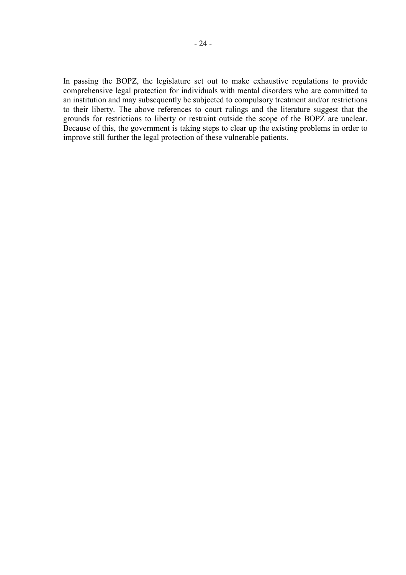In passing the BOPZ, the legislature set out to make exhaustive regulations to provide comprehensive legal protection for individuals with mental disorders who are committed to an institution and may subsequently be subjected to compulsory treatment and/or restrictions to their liberty. The above references to court rulings and the literature suggest that the grounds for restrictions to liberty or restraint outside the scope of the BOPZ are unclear. Because of this, the government is taking steps to clear up the existing problems in order to improve still further the legal protection of these vulnerable patients.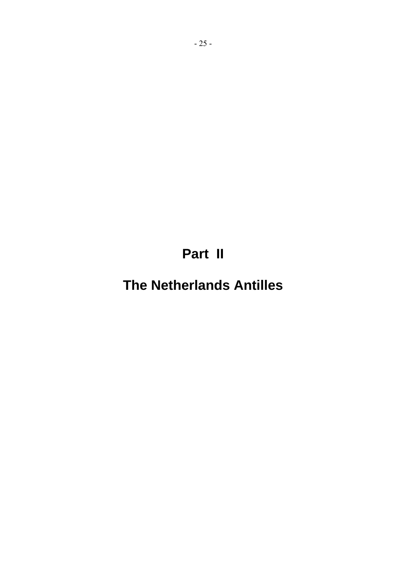**Part II** 

**The Netherlands Antilles**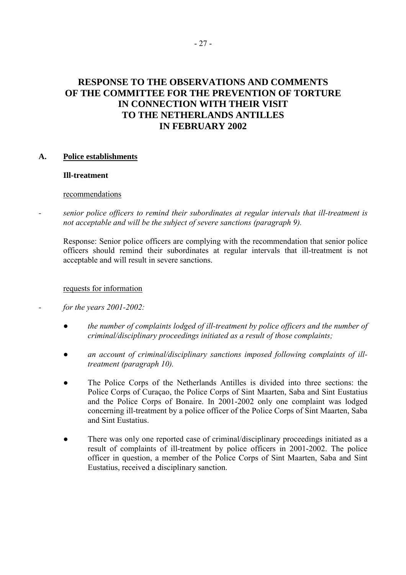# **RESPONSE TO THE OBSERVATIONS AND COMMENTS OF THE COMMITTEE FOR THE PREVENTION OF TORTURE IN CONNECTION WITH THEIR VISIT TO THE NETHERLANDS ANTILLES IN FEBRUARY 2002**

# **A. Police establishments**

# **Ill-treatment**

### recommendations

*- senior police officers to remind their subordinates at regular intervals that ill-treatment is not acceptable and will be the subject of severe sanctions (paragraph 9).* 

Response: Senior police officers are complying with the recommendation that senior police officers should remind their subordinates at regular intervals that ill-treatment is not acceptable and will result in severe sanctions.

# requests for information

# *- for the years 2001-2002:*

- *● the number of complaints lodged of ill-treatment by police officers and the number of criminal/disciplinary proceedings initiated as a result of those complaints;*
- *● an account of criminal/disciplinary sanctions imposed following complaints of illtreatment (paragraph 10).*
- The Police Corps of the Netherlands Antilles is divided into three sections: the Police Corps of Curaçao, the Police Corps of Sint Maarten, Saba and Sint Eustatius and the Police Corps of Bonaire. In 2001-2002 only one complaint was lodged concerning ill-treatment by a police officer of the Police Corps of Sint Maarten, Saba and Sint Eustatius.
- There was only one reported case of criminal/disciplinary proceedings initiated as a result of complaints of ill-treatment by police officers in 2001-2002. The police officer in question, a member of the Police Corps of Sint Maarten, Saba and Sint Eustatius, received a disciplinary sanction.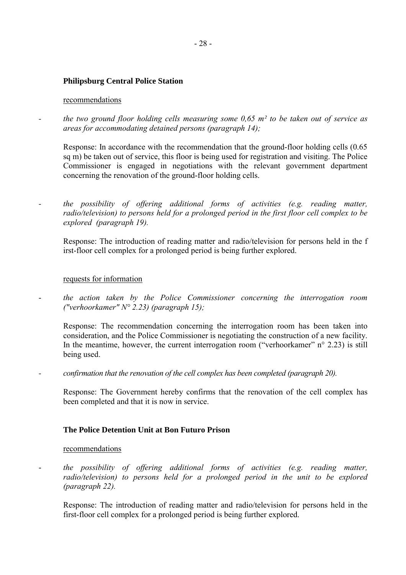### **Philipsburg Central Police Station**

#### recommendations

*- the two ground floor holding cells measuring some 0,65 m² to be taken out of service as areas for accommodating detained persons (paragraph 14);* 

Response: In accordance with the recommendation that the ground-floor holding cells (0.65 sq m) be taken out of service, this floor is being used for registration and visiting. The Police Commissioner is engaged in negotiations with the relevant government department concerning the renovation of the ground-floor holding cells.

*- the possibility of offering additional forms of activities (e.g. reading matter, radio/television) to persons held for a prolonged period in the first floor cell complex to be explored (paragraph 19).* 

Response: The introduction of reading matter and radio/television for persons held in the f irst-floor cell complex for a prolonged period is being further explored.

#### requests for information

- *the action taken by the Police Commissioner concerning the interrogation room ("verhoorkamer" N° 2.23) (paragraph 15);* 

Response: The recommendation concerning the interrogation room has been taken into consideration, and the Police Commissioner is negotiating the construction of a new facility. In the meantime, however, the current interrogation room ("verhoorkamer"  $n^{\circ}$  2.23) is still being used.

*- confirmation that the renovation of the cell complex has been completed (paragraph 20).* 

Response: The Government hereby confirms that the renovation of the cell complex has been completed and that it is now in service.

## **The Police Detention Unit at Bon Futuro Prison**

#### recommendations

the possibility of offering additional forms of activities (e.g. reading matter, radio/television) to persons held for a prolonged period in the unit to be explored *(paragraph 22).* 

Response: The introduction of reading matter and radio/television for persons held in the first-floor cell complex for a prolonged period is being further explored.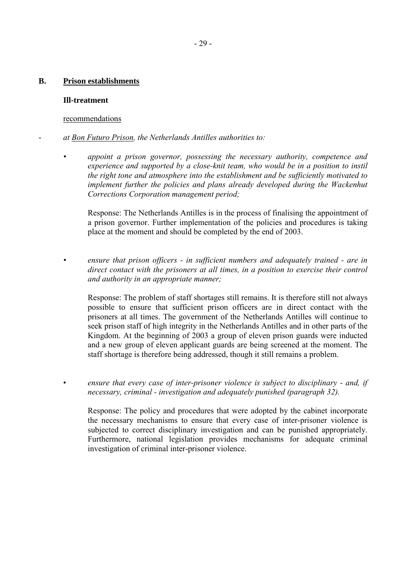#### **B. Prison establishments**

#### **Ill-treatment**

### recommendations

- *at Bon Futuro Prison, the Netherlands Antilles authorities to:* 
	- *ï appoint a prison governor, possessing the necessary authority, competence and experience and supported by a close-knit team, who would be in a position to instil the right tone and atmosphere into the establishment and be sufficiently motivated to implement further the policies and plans already developed during the Wackenhut Corrections Corporation management period;*

Response: The Netherlands Antilles is in the process of finalising the appointment of a prison governor. Further implementation of the policies and procedures is taking place at the moment and should be completed by the end of 2003.

*ï ensure that prison officers - in sufficient numbers and adequately trained - are in direct contact with the prisoners at all times, in a position to exercise their control and authority in an appropriate manner;* 

Response: The problem of staff shortages still remains. It is therefore still not always possible to ensure that sufficient prison officers are in direct contact with the prisoners at all times. The government of the Netherlands Antilles will continue to seek prison staff of high integrity in the Netherlands Antilles and in other parts of the Kingdom. At the beginning of 2003 a group of eleven prison guards were inducted and a new group of eleven applicant guards are being screened at the moment. The staff shortage is therefore being addressed, though it still remains a problem.

ensure that every case of inter-prisoner violence is subject to disciplinary - and, if *necessary, criminal - investigation and adequately punished (paragraph 32).* 

Response: The policy and procedures that were adopted by the cabinet incorporate the necessary mechanisms to ensure that every case of inter-prisoner violence is subjected to correct disciplinary investigation and can be punished appropriately. Furthermore, national legislation provides mechanisms for adequate criminal investigation of criminal inter-prisoner violence.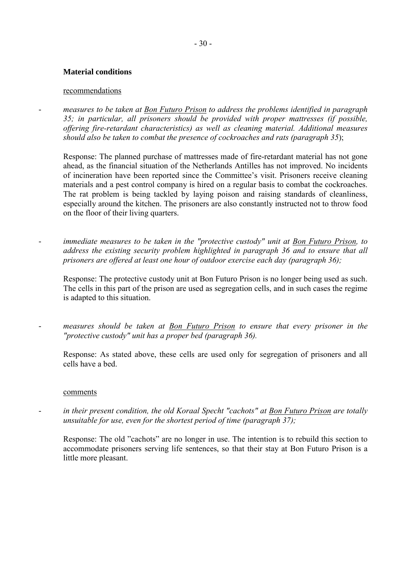# **Material conditions**

# recommendations

measures to be taken at **Bon Futuro Prison** to address the problems identified in paragraph *35; in particular, all prisoners should be provided with proper mattresses (if possible, offering fire-retardant characteristics) as well as cleaning material. Additional measures should also be taken to combat the presence of cockroaches and rats (paragraph 35*);

Response: The planned purchase of mattresses made of fire-retardant material has not gone ahead, as the financial situation of the Netherlands Antilles has not improved. No incidents of incineration have been reported since the Committee's visit. Prisoners receive cleaning materials and a pest control company is hired on a regular basis to combat the cockroaches. The rat problem is being tackled by laying poison and raising standards of cleanliness, especially around the kitchen. The prisoners are also constantly instructed not to throw food on the floor of their living quarters.

immediate measures to be taken in the "protective custody" unit at Bon Futuro Prison, to *address the existing security problem highlighted in paragraph 36 and to ensure that all prisoners are offered at least one hour of outdoor exercise each day (paragraph 36);*

Response: The protective custody unit at Bon Futuro Prison is no longer being used as such. The cells in this part of the prison are used as segregation cells, and in such cases the regime is adapted to this situation.

measures should be taken at Bon Futuro Prison to ensure that every prisoner in the *"protective custody" unit has a proper bed (paragraph 36).* 

Response: As stated above, these cells are used only for segregation of prisoners and all cells have a bed.

#### comments

- *in their present condition, the old Koraal Specht "cachots" at Bon Futuro Prison are totally unsuitable for use, even for the shortest period of time (paragraph 37);*

Response: The old "cachots" are no longer in use. The intention is to rebuild this section to accommodate prisoners serving life sentences, so that their stay at Bon Futuro Prison is a little more pleasant.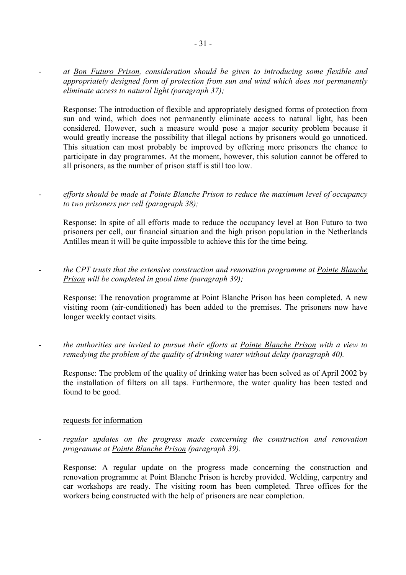- *at Bon Futuro Prison, consideration should be given to introducing some flexible and appropriately designed form of protection from sun and wind which does not permanently eliminate access to natural light (paragraph 37);* 

Response: The introduction of flexible and appropriately designed forms of protection from sun and wind, which does not permanently eliminate access to natural light, has been considered. However, such a measure would pose a major security problem because it would greatly increase the possibility that illegal actions by prisoners would go unnoticed. This situation can most probably be improved by offering more prisoners the chance to participate in day programmes. At the moment, however, this solution cannot be offered to all prisoners, as the number of prison staff is still too low.

*- efforts should be made at Pointe Blanche Prison to reduce the maximum level of occupancy to two prisoners per cell (paragraph 38);* 

Response: In spite of all efforts made to reduce the occupancy level at Bon Futuro to two prisoners per cell, our financial situation and the high prison population in the Netherlands Antilles mean it will be quite impossible to achieve this for the time being.

*- the CPT trusts that the extensive construction and renovation programme at Pointe Blanche Prison will be completed in good time (paragraph 39);* 

Response: The renovation programme at Point Blanche Prison has been completed. A new visiting room (air-conditioned) has been added to the premises. The prisoners now have longer weekly contact visits.

- *the authorities are invited to pursue their efforts at Pointe Blanche Prison with a view to remedying the problem of the quality of drinking water without delay (paragraph 40).* 

Response: The problem of the quality of drinking water has been solved as of April 2002 by the installation of filters on all taps. Furthermore, the water quality has been tested and found to be good.

#### requests for information

- *regular updates on the progress made concerning the construction and renovation programme at Pointe Blanche Prison (paragraph 39).*

Response: A regular update on the progress made concerning the construction and renovation programme at Point Blanche Prison is hereby provided. Welding, carpentry and car workshops are ready. The visiting room has been completed. Three offices for the workers being constructed with the help of prisoners are near completion.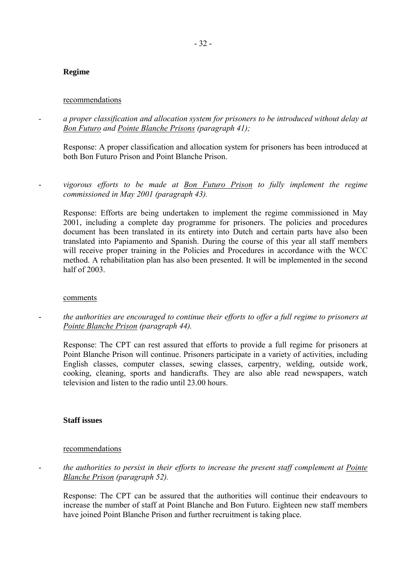# **Regime**

# recommendations

*- a proper classification and allocation system for prisoners to be introduced without delay at Bon Futuro and Pointe Blanche Prisons (paragraph 41);* 

Response: A proper classification and allocation system for prisoners has been introduced at both Bon Futuro Prison and Point Blanche Prison.

- *vigorous efforts to be made at Bon Futuro Prison to fully implement the regime commissioned in May 2001 (paragraph 43).* 

Response: Efforts are being undertaken to implement the regime commissioned in May 2001, including a complete day programme for prisoners. The policies and procedures document has been translated in its entirety into Dutch and certain parts have also been translated into Papiamento and Spanish. During the course of this year all staff members will receive proper training in the Policies and Procedures in accordance with the WCC method. A rehabilitation plan has also been presented. It will be implemented in the second half of 2003.

# comments

the authorities are encouraged to continue their efforts to offer a full regime to prisoners at *Pointe Blanche Prison (paragraph 44).* 

Response: The CPT can rest assured that efforts to provide a full regime for prisoners at Point Blanche Prison will continue. Prisoners participate in a variety of activities, including English classes, computer classes, sewing classes, carpentry, welding, outside work, cooking, cleaning, sports and handicrafts. They are also able read newspapers, watch television and listen to the radio until 23.00 hours.

# **Staff issues**

# recommendations

- *the authorities to persist in their efforts to increase the present staff complement at Pointe Blanche Prison (paragraph 52).*

Response: The CPT can be assured that the authorities will continue their endeavours to increase the number of staff at Point Blanche and Bon Futuro. Eighteen new staff members have joined Point Blanche Prison and further recruitment is taking place.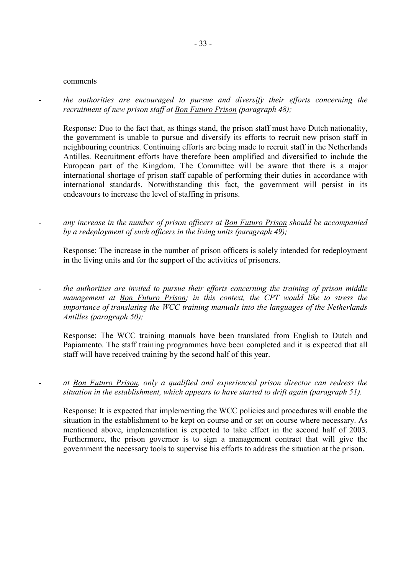#### comments

the authorities are encouraged to pursue and diversify their efforts concerning the *recruitment of new prison staff at Bon Futuro Prison (paragraph 48);* 

Response: Due to the fact that, as things stand, the prison staff must have Dutch nationality, the government is unable to pursue and diversify its efforts to recruit new prison staff in neighbouring countries. Continuing efforts are being made to recruit staff in the Netherlands Antilles. Recruitment efforts have therefore been amplified and diversified to include the European part of the Kingdom. The Committee will be aware that there is a major international shortage of prison staff capable of performing their duties in accordance with international standards. Notwithstanding this fact, the government will persist in its endeavours to increase the level of staffing in prisons.

any increase in the number of prison officers at Bon Futuro Prison should be accompanied *by a redeployment of such officers in the living units (paragraph 49);* 

Response: The increase in the number of prison officers is solely intended for redeployment in the living units and for the support of the activities of prisoners.

*- the authorities are invited to pursue their efforts concerning the training of prison middle management at Bon Futuro Prison; in this context, the CPT would like to stress the importance of translating the WCC training manuals into the languages of the Netherlands Antilles (paragraph 50);* 

Response: The WCC training manuals have been translated from English to Dutch and Papiamento. The staff training programmes have been completed and it is expected that all staff will have received training by the second half of this year.

at Bon Futuro Prison, only a qualified and experienced prison director can redress the *situation in the establishment, which appears to have started to drift again (paragraph 51).* 

Response: It is expected that implementing the WCC policies and procedures will enable the situation in the establishment to be kept on course and or set on course where necessary. As mentioned above, implementation is expected to take effect in the second half of 2003. Furthermore, the prison governor is to sign a management contract that will give the government the necessary tools to supervise his efforts to address the situation at the prison.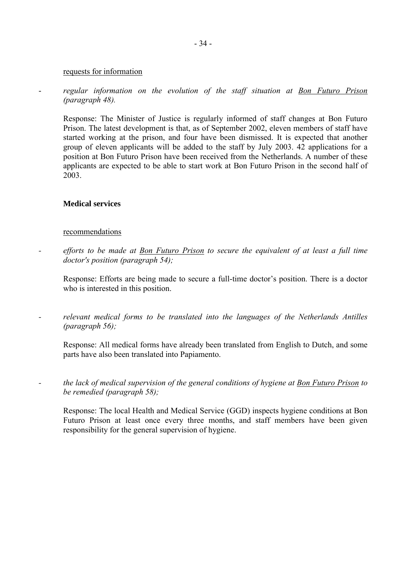# - 34 -

#### requests for information

- *regular information on the evolution of the staff situation at Bon Futuro Prison (paragraph 48).*

Response: The Minister of Justice is regularly informed of staff changes at Bon Futuro Prison. The latest development is that, as of September 2002, eleven members of staff have started working at the prison, and four have been dismissed. It is expected that another group of eleven applicants will be added to the staff by July 2003. 42 applications for a position at Bon Futuro Prison have been received from the Netherlands. A number of these applicants are expected to be able to start work at Bon Futuro Prison in the second half of 2003.

# **Medical services**

### recommendations

*- efforts to be made at Bon Futuro Prison to secure the equivalent of at least a full time doctor's position (paragraph 54);* 

Response: Efforts are being made to secure a full-time doctor's position. There is a doctor who is interested in this position.

*- relevant medical forms to be translated into the languages of the Netherlands Antilles (paragraph 56);* 

Response: All medical forms have already been translated from English to Dutch, and some parts have also been translated into Papiamento.

*- the lack of medical supervision of the general conditions of hygiene at Bon Futuro Prison to be remedied (paragraph 58);* 

Response: The local Health and Medical Service (GGD) inspects hygiene conditions at Bon Futuro Prison at least once every three months, and staff members have been given responsibility for the general supervision of hygiene.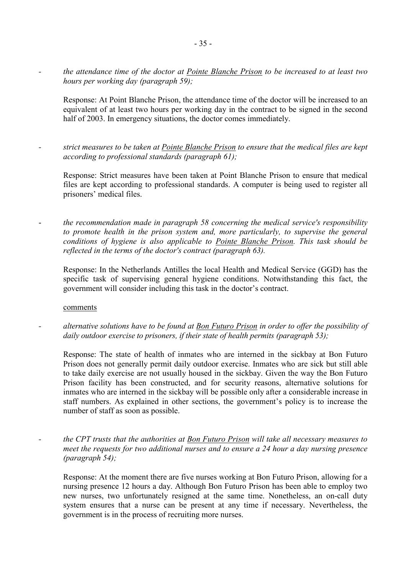*- the attendance time of the doctor at Pointe Blanche Prison to be increased to at least two hours per working day (paragraph 59);* 

Response: At Point Blanche Prison, the attendance time of the doctor will be increased to an equivalent of at least two hours per working day in the contract to be signed in the second half of 2003. In emergency situations, the doctor comes immediately.

*- strict measures to be taken at Pointe Blanche Prison to ensure that the medical files are kept according to professional standards (paragraph 61);* 

Response: Strict measures have been taken at Point Blanche Prison to ensure that medical files are kept according to professional standards. A computer is being used to register all prisoners' medical files.

- *the recommendation made in paragraph 58 concerning the medical service's responsibility to promote health in the prison system and, more particularly, to supervise the general conditions of hygiene is also applicable to Pointe Blanche Prison. This task should be reflected in the terms of the doctor's contract (paragraph 63).*

Response: In the Netherlands Antilles the local Health and Medical Service (GGD) has the specific task of supervising general hygiene conditions. Notwithstanding this fact, the government will consider including this task in the doctor's contract.

#### comments

*- alternative solutions have to be found at Bon Futuro Prison in order to offer the possibility of daily outdoor exercise to prisoners, if their state of health permits (paragraph 53);* 

Response: The state of health of inmates who are interned in the sickbay at Bon Futuro Prison does not generally permit daily outdoor exercise. Inmates who are sick but still able to take daily exercise are not usually housed in the sickbay. Given the way the Bon Futuro Prison facility has been constructed, and for security reasons, alternative solutions for inmates who are interned in the sickbay will be possible only after a considerable increase in staff numbers. As explained in other sections, the government's policy is to increase the number of staff as soon as possible.

*- the CPT trusts that the authorities at Bon Futuro Prison will take all necessary measures to meet the requests for two additional nurses and to ensure a 24 hour a day nursing presence (paragraph 54);* 

Response: At the moment there are five nurses working at Bon Futuro Prison, allowing for a nursing presence 12 hours a day. Although Bon Futuro Prison has been able to employ two new nurses, two unfortunately resigned at the same time. Nonetheless, an on-call duty system ensures that a nurse can be present at any time if necessary. Nevertheless, the government is in the process of recruiting more nurses.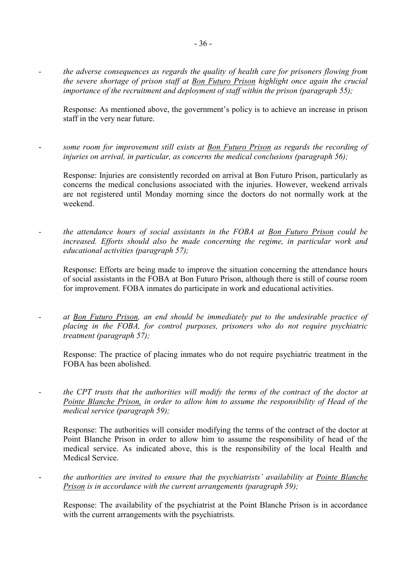*- the adverse consequences as regards the quality of health care for prisoners flowing from the severe shortage of prison staff at Bon Futuro Prison highlight once again the crucial importance of the recruitment and deployment of staff within the prison (paragraph 55);* 

Response: As mentioned above, the government's policy is to achieve an increase in prison staff in the very near future.

- *some room for improvement still exists at Bon Futuro Prison as regards the recording of injuries on arrival, in particular, as concerns the medical conclusions (paragraph 56);*

Response: Injuries are consistently recorded on arrival at Bon Futuro Prison, particularly as concerns the medical conclusions associated with the injuries. However, weekend arrivals are not registered until Monday morning since the doctors do not normally work at the weekend.

*- the attendance hours of social assistants in the FOBA at Bon Futuro Prison could be increased. Efforts should also be made concerning the regime, in particular work and educational activities (paragraph 57);* 

Response: Efforts are being made to improve the situation concerning the attendance hours of social assistants in the FOBA at Bon Futuro Prison, although there is still of course room for improvement. FOBA inmates do participate in work and educational activities.

*- at Bon Futuro Prison, an end should be immediately put to the undesirable practice of placing in the FOBA, for control purposes, prisoners who do not require psychiatric treatment (paragraph 57);* 

Response: The practice of placing inmates who do not require psychiatric treatment in the FOBA has been abolished.

*- the CPT trusts that the authorities will modify the terms of the contract of the doctor at Pointe Blanche Prison, in order to allow him to assume the responsibility of Head of the medical service (paragraph 59);* 

Response: The authorities will consider modifying the terms of the contract of the doctor at Point Blanche Prison in order to allow him to assume the responsibility of head of the medical service. As indicated above, this is the responsibility of the local Health and Medical Service.

the authorities are invited to ensure that the psychiatrists' availability at Pointe Blanche *Prison is in accordance with the current arrangements (paragraph 59);* 

Response: The availability of the psychiatrist at the Point Blanche Prison is in accordance with the current arrangements with the psychiatrists.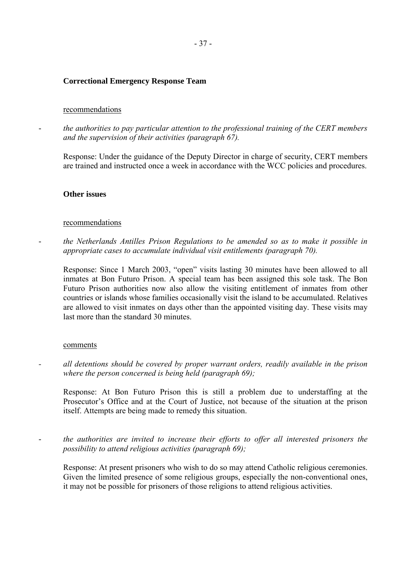#### **Correctional Emergency Response Team**

#### recommendations

- *the authorities to pay particular attention to the professional training of the CERT members and the supervision of their activities (paragraph 67).*

Response: Under the guidance of the Deputy Director in charge of security, CERT members are trained and instructed once a week in accordance with the WCC policies and procedures.

#### **Other issues**

#### recommendations

- *the Netherlands Antilles Prison Regulations to be amended so as to make it possible in appropriate cases to accumulate individual visit entitlements (paragraph 70).* 

Response: Since 1 March 2003, "open" visits lasting 30 minutes have been allowed to all inmates at Bon Futuro Prison. A special team has been assigned this sole task. The Bon Futuro Prison authorities now also allow the visiting entitlement of inmates from other countries or islands whose families occasionally visit the island to be accumulated. Relatives are allowed to visit inmates on days other than the appointed visiting day. These visits may last more than the standard 30 minutes.

#### comments

*- all detentions should be covered by proper warrant orders, readily available in the prison where the person concerned is being held (paragraph 69);* 

Response: At Bon Futuro Prison this is still a problem due to understaffing at the Prosecutor's Office and at the Court of Justice, not because of the situation at the prison itself. Attempts are being made to remedy this situation.

- *the authorities are invited to increase their efforts to offer all interested prisoners the possibility to attend religious activities (paragraph 69);*

Response: At present prisoners who wish to do so may attend Catholic religious ceremonies. Given the limited presence of some religious groups, especially the non-conventional ones, it may not be possible for prisoners of those religions to attend religious activities.